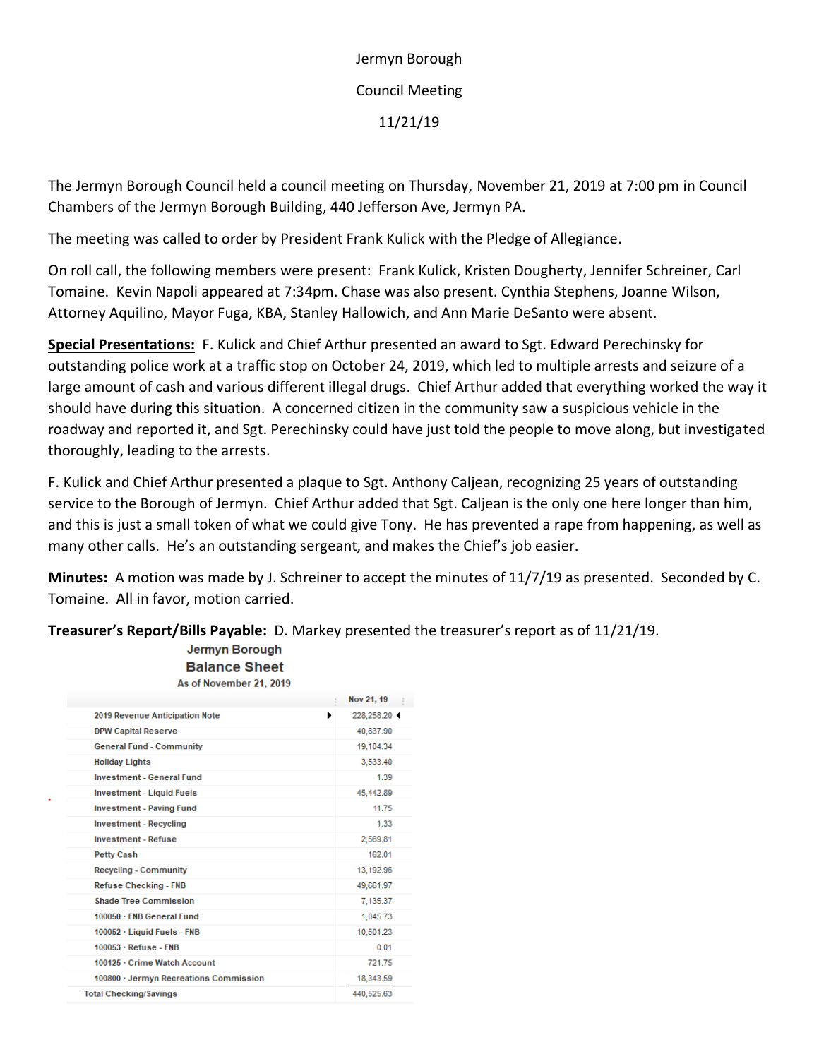Jermyn Borough Council Meeting 11/21/19

The Jermyn Borough Council held a council meeting on Thursday, November 21, 2019 at 7:00 pm in Council Chambers of the Jermyn Borough Building, 440 Jefferson Ave, Jermyn PA.

The meeting was called to order by President Frank Kulick with the Pledge of Allegiance.

On roll call, the following members were present: Frank Kulick, Kristen Dougherty, Jennifer Schreiner, Carl Tomaine. Kevin Napoli appeared at 7:34pm. Chase was also present. Cynthia Stephens, Joanne Wilson, Attorney Aquilino, Mayor Fuga, KBA, Stanley Hallowich, and Ann Marie DeSanto were absent.

**Special Presentations:** F. Kulick and Chief Arthur presented an award to Sgt. Edward Perechinsky for outstanding police work at a traffic stop on October 24, 2019, which led to multiple arrests and seizure of a large amount of cash and various different illegal drugs. Chief Arthur added that everything worked the way it should have during this situation. A concerned citizen in the community saw a suspicious vehicle in the roadway and reported it, and Sgt. Perechinsky could have just told the people to move along, but investigated thoroughly, leading to the arrests.

F. Kulick and Chief Arthur presented a plaque to Sgt. Anthony Caljean, recognizing 25 years of outstanding service to the Borough of Jermyn. Chief Arthur added that Sgt. Caljean is the only one here longer than him, and this is just a small token of what we could give Tony. He has prevented a rape from happening, as well as many other calls. He's an outstanding sergeant, and makes the Chief's job easier.

**Minutes:** A motion was made by J. Schreiner to accept the minutes of 11/7/19 as presented. Seconded by C. Tomaine. All in favor, motion carried.

| As of November 21, 2019                |                 |
|----------------------------------------|-----------------|
|                                        | Nov 21, 19      |
| 2019 Revenue Anticipation Note         | 228,258.20<br>٠ |
| <b>DPW Capital Reserve</b>             | 40,837.90       |
| <b>General Fund - Community</b>        | 19,104.34       |
| <b>Holiday Lights</b>                  | 3,533.40        |
| <b>Investment - General Fund</b>       | 1.39            |
| <b>Investment - Liquid Fuels</b>       | 45,442.89       |
| <b>Investment - Paving Fund</b>        | 11.75           |
| <b>Investment - Recycling</b>          | 1.33            |
| <b>Investment - Refuse</b>             | 2,569.81        |
| <b>Petty Cash</b>                      | 162.01          |
| <b>Recycling - Community</b>           | 13,192.96       |
| Refuse Checking - FNB                  | 49,661.97       |
| <b>Shade Tree Commission</b>           | 7.135.37        |
| 100050 · FNB General Fund              | 1,045.73        |
| 100052 · Liquid Fuels - FNB            | 10,501.23       |
| $100053 \cdot$ Refuse - FNB            | 0.01            |
| 100125 · Crime Watch Account           | 721.75          |
| 100800 · Jermyn Recreations Commission | 18,343.59       |
| <b>Total Checking/Savings</b>          | 440,525.63      |

Jermyn Borough **Balance Sheet** 

**Treasurer's Report/Bills Payable:** D. Markey presented the treasurer's report as of 11/21/19.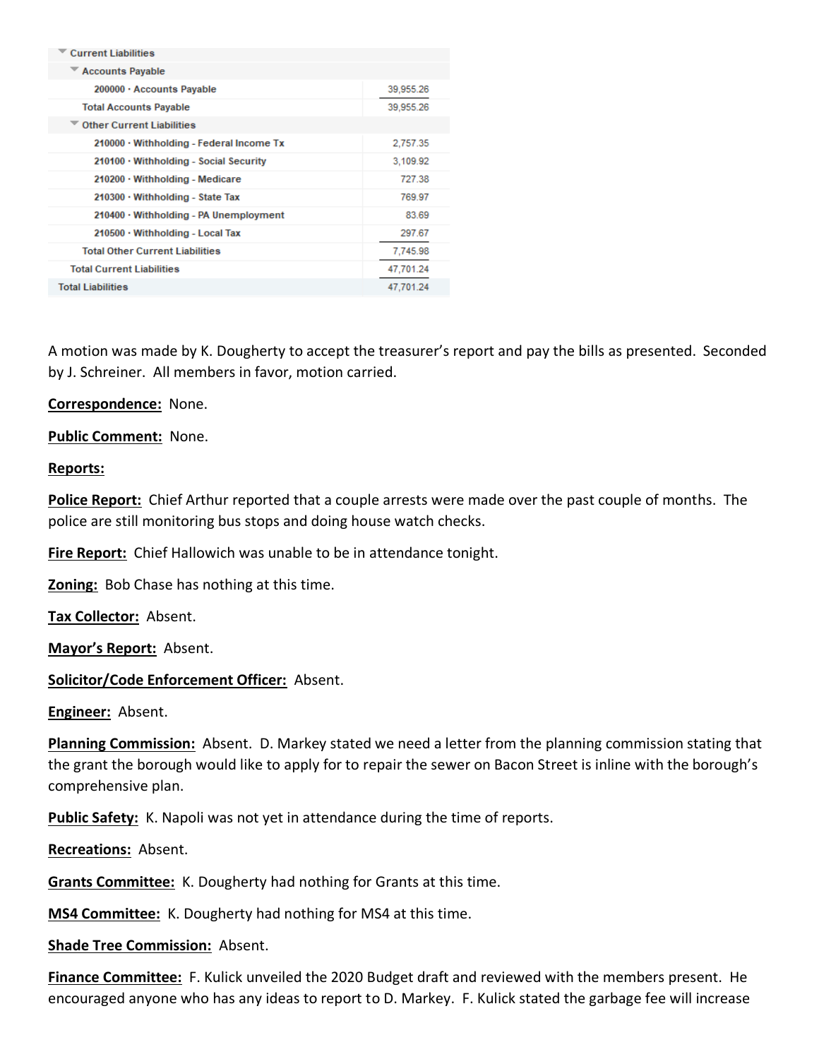| <b>Current Liabilities</b>                     |           |
|------------------------------------------------|-----------|
| <b>Accounts Payable</b>                        |           |
| 200000 · Accounts Payable                      | 39,955.26 |
| <b>Total Accounts Payable</b>                  | 39,955.26 |
| <b>Other Current Liabilities</b>               |           |
| $210000 \cdot$ Withholding - Federal Income Tx | 2,757.35  |
| 210100 · Withholding - Social Security         | 3.109.92  |
| 210200 · Withholding - Medicare                | 727.38    |
| $210300 \cdot$ Withholding - State Tax         | 769.97    |
| $210400 \cdot$ Withholding - PA Unemployment   | 83.69     |
| 210500 · Withholding - Local Tax               | 297.67    |
| <b>Total Other Current Liabilities</b>         | 7,745.98  |
| <b>Total Current Liabilities</b>               | 47,701.24 |
| <b>Total Liabilities</b>                       | 47.701.24 |

A motion was made by K. Dougherty to accept the treasurer's report and pay the bills as presented. Seconded by J. Schreiner. All members in favor, motion carried.

**Correspondence:** None.

**Public Comment:** None.

## **Reports:**

**Police Report:** Chief Arthur reported that a couple arrests were made over the past couple of months. The police are still monitoring bus stops and doing house watch checks.

**Fire Report:** Chief Hallowich was unable to be in attendance tonight.

**Zoning:** Bob Chase has nothing at this time.

**Tax Collector:** Absent.

**Mayor's Report:** Absent.

## **Solicitor/Code Enforcement Officer:** Absent.

**Engineer:** Absent.

**Planning Commission:** Absent. D. Markey stated we need a letter from the planning commission stating that the grant the borough would like to apply for to repair the sewer on Bacon Street is inline with the borough's comprehensive plan.

**Public Safety:** K. Napoli was not yet in attendance during the time of reports.

**Recreations:** Absent.

**Grants Committee:** K. Dougherty had nothing for Grants at this time.

**MS4 Committee:** K. Dougherty had nothing for MS4 at this time.

**Shade Tree Commission:** Absent.

**Finance Committee:** F. Kulick unveiled the 2020 Budget draft and reviewed with the members present. He encouraged anyone who has any ideas to report to D. Markey. F. Kulick stated the garbage fee will increase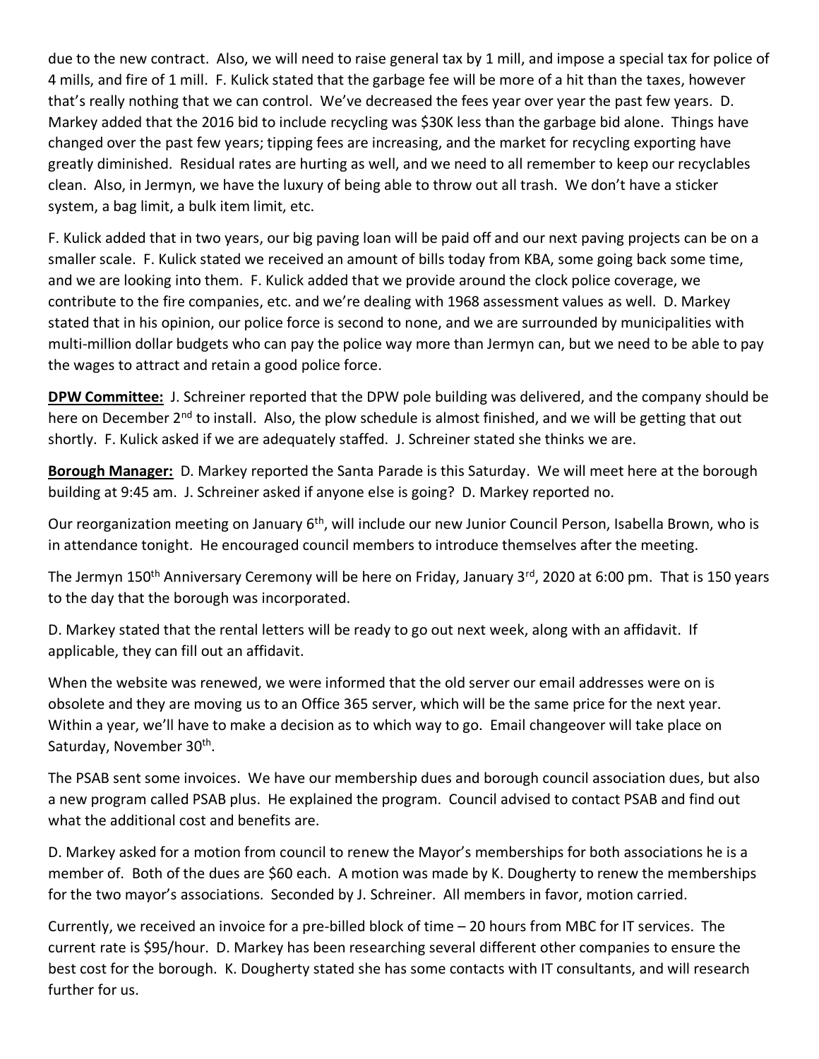due to the new contract. Also, we will need to raise general tax by 1 mill, and impose a special tax for police of 4 mills, and fire of 1 mill. F. Kulick stated that the garbage fee will be more of a hit than the taxes, however that's really nothing that we can control. We've decreased the fees year over year the past few years. D. Markey added that the 2016 bid to include recycling was \$30K less than the garbage bid alone. Things have changed over the past few years; tipping fees are increasing, and the market for recycling exporting have greatly diminished. Residual rates are hurting as well, and we need to all remember to keep our recyclables clean. Also, in Jermyn, we have the luxury of being able to throw out all trash. We don't have a sticker system, a bag limit, a bulk item limit, etc.

F. Kulick added that in two years, our big paving loan will be paid off and our next paving projects can be on a smaller scale. F. Kulick stated we received an amount of bills today from KBA, some going back some time, and we are looking into them. F. Kulick added that we provide around the clock police coverage, we contribute to the fire companies, etc. and we're dealing with 1968 assessment values as well. D. Markey stated that in his opinion, our police force is second to none, and we are surrounded by municipalities with multi-million dollar budgets who can pay the police way more than Jermyn can, but we need to be able to pay the wages to attract and retain a good police force.

**DPW Committee:** J. Schreiner reported that the DPW pole building was delivered, and the company should be here on December 2<sup>nd</sup> to install. Also, the plow schedule is almost finished, and we will be getting that out shortly. F. Kulick asked if we are adequately staffed. J. Schreiner stated she thinks we are.

**Borough Manager:** D. Markey reported the Santa Parade is this Saturday. We will meet here at the borough building at 9:45 am. J. Schreiner asked if anyone else is going? D. Markey reported no.

Our reorganization meeting on January 6th, will include our new Junior Council Person, Isabella Brown, who is in attendance tonight. He encouraged council members to introduce themselves after the meeting.

The Jermyn 150<sup>th</sup> Anniversary Ceremony will be here on Friday, January 3<sup>rd</sup>, 2020 at 6:00 pm. That is 150 years to the day that the borough was incorporated.

D. Markey stated that the rental letters will be ready to go out next week, along with an affidavit. If applicable, they can fill out an affidavit.

When the website was renewed, we were informed that the old server our email addresses were on is obsolete and they are moving us to an Office 365 server, which will be the same price for the next year. Within a year, we'll have to make a decision as to which way to go. Email changeover will take place on Saturday, November 30<sup>th</sup>.

The PSAB sent some invoices. We have our membership dues and borough council association dues, but also a new program called PSAB plus. He explained the program. Council advised to contact PSAB and find out what the additional cost and benefits are.

D. Markey asked for a motion from council to renew the Mayor's memberships for both associations he is a member of. Both of the dues are \$60 each. A motion was made by K. Dougherty to renew the memberships for the two mayor's associations. Seconded by J. Schreiner. All members in favor, motion carried.

Currently, we received an invoice for a pre-billed block of time – 20 hours from MBC for IT services. The current rate is \$95/hour. D. Markey has been researching several different other companies to ensure the best cost for the borough. K. Dougherty stated she has some contacts with IT consultants, and will research further for us.